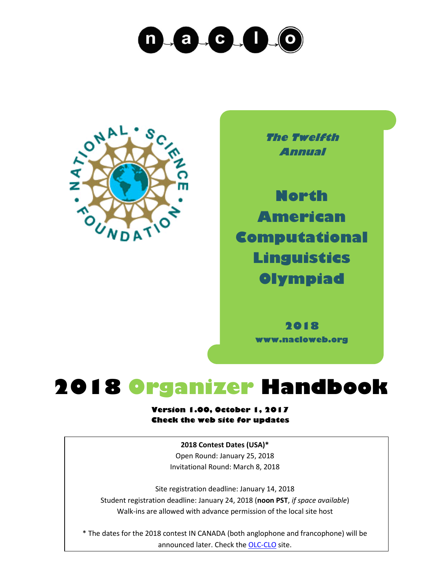



**The Twelfth Annual**

**North American Computational Linguistics Olympiad**

> **2018 www.nacloweb.org**

## **2018 Organizer Handbook**

#### **Version 1.00, October 1, 2017 Check the web site for updates**

**2018 Contest Dates (USA)\*** Open Round: January 25, 2018 Invitational Round: March 8, 2018

Site registration deadline: January 14, 2018 Student registration deadline: January 24, 2018 (**noon PST**, *if space available*) Walk-ins are allowed with advance permission of the local site host

\* The dates for the 2018 contest IN CANADA (both anglophone and francophone) will be announced later. Check the [OLC-CLO](https://olc-clo.org/) site.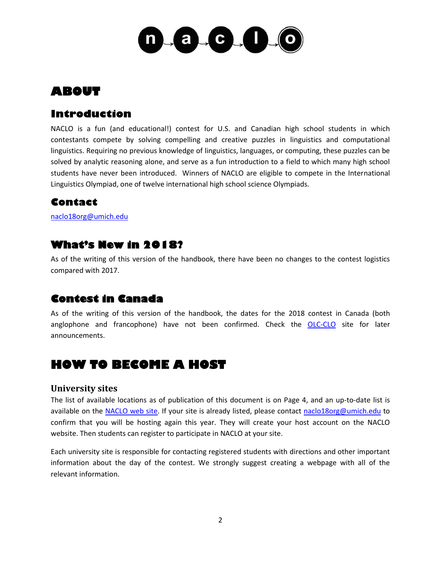

## **ABOUT**

## **Introduction**

NACLO is a fun (and educational!) contest for U.S. and Canadian high school students in which contestants compete by solving compelling and creative puzzles in linguistics and computational linguistics. Requiring no previous knowledge of linguistics, languages, or computing, these puzzles can be solved by analytic reasoning alone, and serve as a fun introduction to a field to which many high school students have never been introduced. Winners of NACLO are eligible to compete in the International Linguistics Olympiad, one of twelve international high school science Olympiads.

## **Contact**

[naclo18org@umich.edu](mailto:naclo18org@umich.edu)

## **What's New in 2018?**

As of the writing of this version of the handbook, there have been no changes to the contest logistics compared with 2017.

## **Contest in Canada**

As of the writing of this version of the handbook, the dates for the 2018 contest in Canada (both anglophone and francophone) have not been confirmed. Check the **[OLC-CLO](https://olc-clo.org/)** site for later announcements.

## **HOW TO BECOME A HOST**

#### **University sites**

The list of available locations as of publication of this document is on Page 4, and an up-to-date list is available on the [NACLO web site.](http://www.nacloweb.org/) If your site is already listed, please contact [naclo18org@umich.edu](mailto:naclo18org@umich.edu) to confirm that you will be hosting again this year. They will create your host account on the NACLO website. Then students can register to participate in NACLO at your site.

Each university site is responsible for contacting registered students with directions and other important information about the day of the contest. We strongly suggest creating a webpage with all of the relevant information.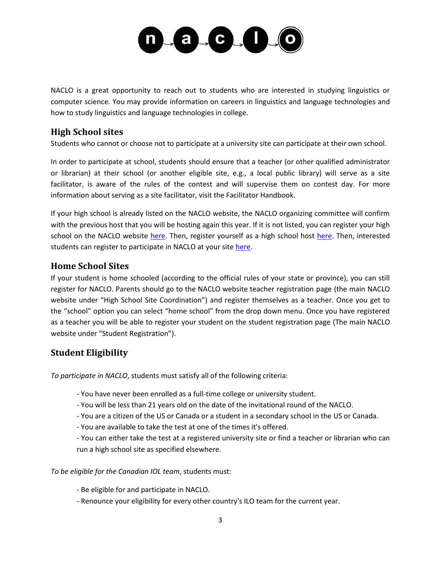

NACLO is a great opportunity to reach out to students who are interested in studying linguistics or computer science. You may provide information on careers in linguistics and language technologies and how to study linguistics and language technologies in college.

#### **High School sites**

Students who cannot or choose not to participate at a university site can participate at their own school.

In order to participate at school, students should ensure that a teacher (or other qualified administrator or librarian) at their school (or another eligible site, e.g., a local public library) will serve as a site facilitator, is aware of the rules of the contest and will supervise them on contest day. For more information about serving as a site facilitator, visit the Facilitator Handbook.

If your high school is already listed on the NACLO website, the NACLO organizing committee will confirm with the previous host that you will be hosting again this year. If it is not listed, you can register your high school on the NACLO website [here.](http://nacloweb.org/register_highhost.php) Then, register yourself as a high school host here. Then, interested students can register to participate in NACLO at your site [here.](http://nacloweb.org/register_student.php)

#### **Home School Sites**

If your student is home schooled (according to the official rules of your state or province), you can still register for NACLO. Parents should go to the NACLO website teacher registration page (the main NACLO website under "High School Site Coordination") and register themselves as a teacher. Once you get to the "school" option you can select "home school" from the drop down menu. Once you have registered as a teacher you will be able to register your student on the student registration page (The main NACLO website under "Student Registration").

#### **Student Eligibility**

*To participate in NACLO*, students must satisfy all of the following criteria:

- You have never been enrolled as a full-time college or university student.
- You will be less than 21 years old on the date of the invitational round of the NACLO.
- You are a citizen of the US or Canada or a student in a secondary school in the US or Canada.
- You are available to take the test at one of the times it's offered.
- You can either take the test at a registered university site or find a teacher or librarian who can run a high school site as specified elsewhere.

*To be eligible for the Canadian IOL team*, students must:

- Be eligible for and participate in NACLO.
- Renounce your eligibility for every other country's ILO team for the current year.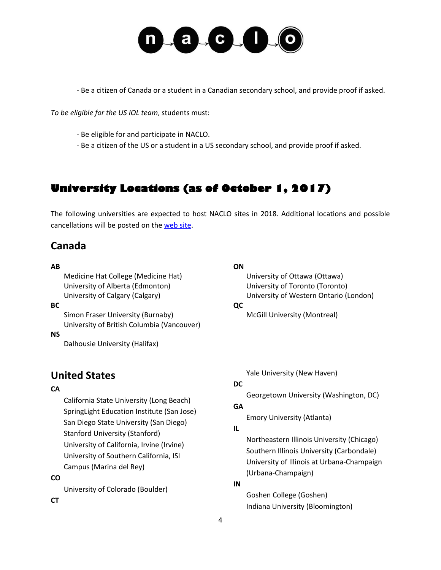

- Be a citizen of Canada or a student in a Canadian secondary school, and provide proof if asked.

*To be eligible for the US IOL team*, students must:

- Be eligible for and participate in NACLO.
- Be a citizen of the US or a student in a US secondary school, and provide proof if asked.

## **University Locations (as of October 1, 2017)**

The following universities are expected to host NACLO sites in 2018. Additional locations and possible cancellations will be posted on th[e web site.](http://www.nacloweb.org/)

## **Canada**

#### **AB**

Medicine Hat College (Medicine Hat) University of Alberta (Edmonton) University of Calgary (Calgary)

#### **BC**

Simon Fraser University (Burnaby) University of British Columbia (Vancouver)

#### **NS**

Dalhousie University (Halifax)

## **ON**

University of Ottawa (Ottawa) University of Toronto (Toronto) University of Western Ontario (London) **QC** McGill University (Montreal)

**United States**

#### **CA**

California State University (Long Beach) SpringLight Education Institute (San Jose) San Diego State University (San Diego) Stanford University (Stanford) University of California, Irvine (Irvine) University of Southern California, ISI Campus (Marina del Rey)

#### **CO**

University of Colorado (Boulder)

Yale University (New Haven)

#### **DC**

Georgetown University (Washington, DC)

#### **GA**

Emory University (Atlanta)

#### **IL**

Northeastern Illinois University (Chicago) Southern Illinois University (Carbondale) University of Illinois at Urbana-Champaign (Urbana-Champaign)

#### **IN**

Goshen College (Goshen) Indiana University (Bloomington)

#### **CT**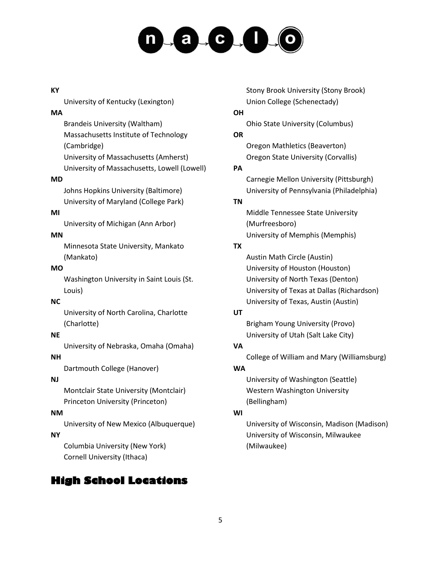# $-a + c$ ,  $1 - 0$

#### **KY**

University of Kentucky (Lexington)

#### **MA**

Brandeis University (Waltham) Massachusetts Institute of Technology (Cambridge) University of Massachusetts (Amherst) University of Massachusetts, Lowell (Lowell)

#### **MD**

Johns Hopkins University (Baltimore) University of Maryland (College Park)

#### **MI**

University of Michigan (Ann Arbor)

#### **MN**

Minnesota State University, Mankato (Mankato)

#### **MO**

Washington University in Saint Louis (St. Louis)

#### **NC**

University of North Carolina, Charlotte (Charlotte)

#### **NE**

University of Nebraska, Omaha (Omaha)

#### **NH**

Dartmouth College (Hanover)

#### **NJ**

Montclair State University (Montclair) Princeton University (Princeton)

#### **NM**

University of New Mexico (Albuquerque)

#### **NY**

Columbia University (New York) Cornell University (Ithaca)

## **High School Locations**

Stony Brook University (Stony Brook) Union College (Schenectady)

#### **OH**

Ohio State University (Columbus)

#### **OR**

Oregon Mathletics (Beaverton) Oregon State University (Corvallis)

#### **PA**

Carnegie Mellon University (Pittsburgh) University of Pennsylvania (Philadelphia)

#### **TN**

Middle Tennessee State University (Murfreesboro) University of Memphis (Memphis)

#### **TX**

Austin Math Circle (Austin) University of Houston (Houston) University of North Texas (Denton) University of Texas at Dallas (Richardson) University of Texas, Austin (Austin)

#### **UT**

Brigham Young University (Provo) University of Utah (Salt Lake City)

#### **VA**

College of William and Mary (Williamsburg)

#### **WA**

University of Washington (Seattle) Western Washington University (Bellingham)

#### **WI**

University of Wisconsin, Madison (Madison) University of Wisconsin, Milwaukee (Milwaukee)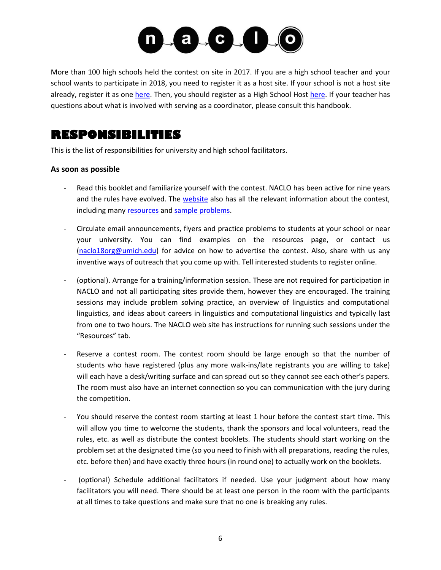

More than 100 high schools held the contest on site in 2017. If you are a high school teacher and your school wants to participate in 2018, you need to register it as a host site. If your school is not a host site already, register it as one [here.](http://nacloweb.org/register_highsite.php) Then, you should register as a High School Host [here.](http://nacloweb.org/register_highhost.php) If your teacher has questions about what is involved with serving as a coordinator, please consult this handbook.

## **RESPONSIBILITIES**

This is the list of responsibilities for university and high school facilitators.

#### **As soon as possible**

- Read this booklet and familiarize yourself with the contest. NACLO has been active for nine years and the rules have evolved. The [website](http://nacloweb.org/) also has all the relevant information about the contest, including many [resources](http://nacloweb.org/resources.php) and [sample problems.](http://nacloweb.org/practice.php)
- Circulate email announcements, flyers and practice problems to students at your school or near your university. You can find examples on the resources page, or contact us [\(naclo18org@umich.edu\)](mailto:naclo18org@umich.edu) for advice on how to advertise the contest. Also, share with us any inventive ways of outreach that you come up with. Tell interested students to register online.
- (optional). Arrange for a training/information session. These are not required for participation in NACLO and not all participating sites provide them, however they are encouraged. The training sessions may include problem solving practice, an overview of linguistics and computational linguistics, and ideas about careers in linguistics and computational linguistics and typically last from one to two hours. The NACLO web site has instructions for running such sessions under the "Resources" tab.
- Reserve a contest room. The contest room should be large enough so that the number of students who have registered (plus any more walk-ins/late registrants you are willing to take) will each have a desk/writing surface and can spread out so they cannot see each other's papers. The room must also have an internet connection so you can communication with the jury during the competition.
- You should reserve the contest room starting at least 1 hour before the contest start time. This will allow you time to welcome the students, thank the sponsors and local volunteers, read the rules, etc. as well as distribute the contest booklets. The students should start working on the problem set at the designated time (so you need to finish with all preparations, reading the rules, etc. before then) and have exactly three hours (in round one) to actually work on the booklets.
- (optional) Schedule additional facilitators if needed. Use your judgment about how many facilitators you will need. There should be at least one person in the room with the participants at all times to take questions and make sure that no one is breaking any rules.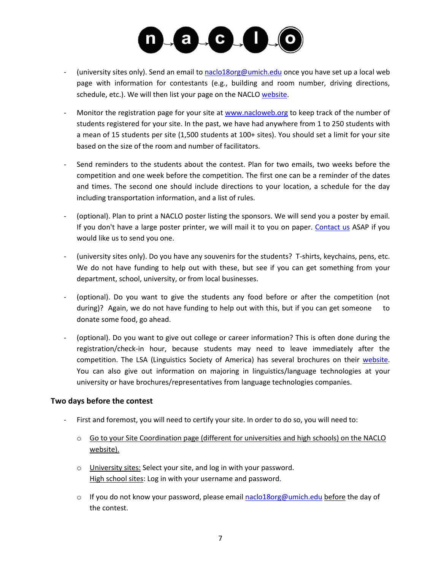

- (university sites only). Send an email to [naclo18org@umich.edu](mailto:naclo18org@umich.edu) once you have set up a local web page with information for contestants (e.g., building and room number, driving directions, schedule, etc.). We will then list your page on the NACL[O website.](http://nacloweb.org/university_sites.php)
- Monitor the registration page for your site at [www.nacloweb.org](http://www.nacloweb.org/) to keep track of the number of students registered for your site. In the past, we have had anywhere from 1 to 250 students with a mean of 15 students per site (1,500 students at 100+ sites). You should set a limit for your site based on the size of the room and number of facilitators.
- Send reminders to the students about the contest. Plan for two emails, two weeks before the competition and one week before the competition. The first one can be a reminder of the dates and times. The second one should include directions to your location, a schedule for the day including transportation information, and a list of rules.
- (optional). Plan to print a NACLO poster listing the sponsors. We will send you a poster by email. If you don't have a large poster printer, we will mail it to you on paper. [Contact us](mailto:naclo18org@umich.edu) ASAP if you would like us to send you one.
- (university sites only). Do you have any souvenirs for the students? T-shirts, keychains, pens, etc. We do not have funding to help out with these, but see if you can get something from your department, school, university, or from local businesses.
- (optional). Do you want to give the students any food before or after the competition (not during)? Again, we do not have funding to help out with this, but if you can get someone to donate some food, go ahead.
- (optional). Do you want to give out college or career information? This is often done during the registration/check-in hour, because students may need to leave immediately after the competition. The LSA (Linguistics Society of America) has several brochures on their [website.](http://www.linguisticsociety.org/what-linguistics) You can also give out information on majoring in linguistics/language technologies at your university or have brochures/representatives from language technologies companies.

#### **Two days before the contest**

- First and foremost, you will need to certify your site. In order to do so, you will need to:
	- o Go to your Site Coordination page (different for universities and high schools) on the NACLO website).
	- o University sites: Select your site, and log in with your password. High school sites: Log in with your username and password.
	- $\circ$  If you do not know your password, please emai[l naclo18org@umich.edu](mailto:naclo18org@umich.edu) before the day of the contest.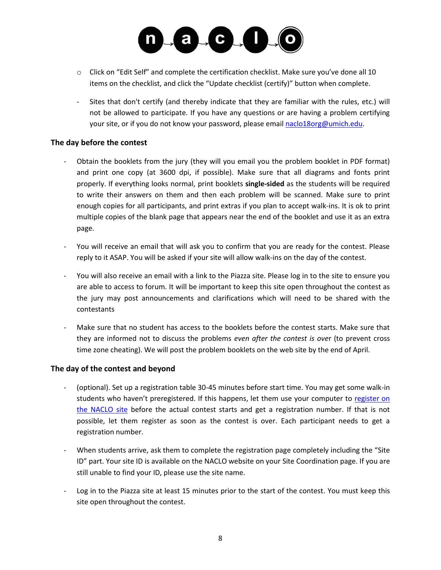

- $\circ$  Click on "Edit Self" and complete the certification checklist. Make sure you've done all 10 items on the checklist, and click the "Update checklist (certify)" button when complete.
- Sites that don't certify (and thereby indicate that they are familiar with the rules, etc.) will not be allowed to participate. If you have any questions or are having a problem certifying your site, or if you do not know your password, please email [naclo18org@umich.edu.](mailto:naclo18org@umich.edu)

#### **The day before the contest**

- Obtain the booklets from the jury (they will you email you the problem booklet in PDF format) and print one copy (at 3600 dpi, if possible). Make sure that all diagrams and fonts print properly. If everything looks normal, print booklets **single-sided** as the students will be required to write their answers on them and then each problem will be scanned. Make sure to print enough copies for all participants, and print extras if you plan to accept walk-ins. It is ok to print multiple copies of the blank page that appears near the end of the booklet and use it as an extra page.
- You will receive an email that will ask you to confirm that you are ready for the contest. Please reply to it ASAP. You will be asked if your site will allow walk-ins on the day of the contest.
- You will also receive an email with a link to the Piazza site. Please log in to the site to ensure you are able to access to forum. It will be important to keep this site open throughout the contest as the jury may post announcements and clarifications which will need to be shared with the contestants
- Make sure that no student has access to the booklets before the contest starts. Make sure that they are informed not to discuss the problems *even after the contest is ove*r (to prevent cross time zone cheating). We will post the problem booklets on the web site by the end of April.

#### **The day of the contest and beyond**

- (optional). Set up a registration table 30-45 minutes before start time. You may get some walk-in students who haven't preregistered. If this happens, let them use your computer to [register on](http://nacloweb.org/register_student.php)  [the NACLO site](http://nacloweb.org/register_student.php) before the actual contest starts and get a registration number. If that is not possible, let them register as soon as the contest is over. Each participant needs to get a registration number.
- When students arrive, ask them to complete the registration page completely including the "Site ID" part. Your site ID is available on the NACLO website on your Site Coordination page. If you are still unable to find your ID, please use the site name.
- Log in to the Piazza site at least 15 minutes prior to the start of the contest. You must keep this site open throughout the contest.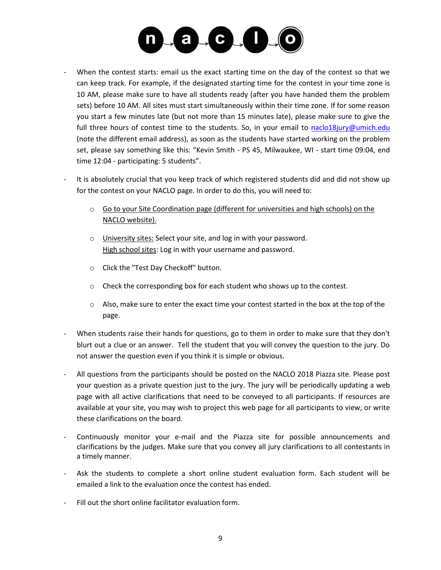

- When the contest starts: email us the exact starting time on the day of the contest so that we can keep track. For example, if the designated starting time for the contest in your time zone is 10 AM, please make sure to have all students ready (after you have handed them the problem sets) before 10 AM. All sites must start simultaneously within their time zone. If for some reason you start a few minutes late (but not more than 15 minutes late), please make sure to give the full three hours of contest time to the students. So, in your email to [naclo18jury@umich.edu](mailto:naclo18jury@umich.edu) (note the different email address), as soon as the students have started working on the problem set, please say something like this: "Kevin Smith - PS 45, Milwaukee, WI - start time 09:04, end time 12:04 - participating: 5 students".
- It is absolutely crucial that you keep track of which registered students did and did not show up for the contest on your NACLO page. In order to do this, you will need to:
	- o Go to your Site Coordination page (different for universities and high schools) on the NACLO website).
	- o University sites: Select your site, and log in with your password. High school sites: Log in with your username and password.
	- o Click the "Test Day Checkoff" button.
	- $\circ$  Check the corresponding box for each student who shows up to the contest.
	- $\circ$  Also, make sure to enter the exact time your contest started in the box at the top of the page.
- When students raise their hands for questions, go to them in order to make sure that they don't blurt out a clue or an answer. Tell the student that you will convey the question to the jury. Do not answer the question even if you think it is simple or obvious.
- All questions from the participants should be posted on the NACLO 2018 Piazza site. Please post your question as a private question just to the jury. The jury will be periodically updating a web page with all active clarifications that need to be conveyed to all participants. If resources are available at your site, you may wish to project this web page for all participants to view, or write these clarifications on the board.
- Continuously monitor your e-mail and the Piazza site for possible announcements and clarifications by the judges. Make sure that you convey all jury clarifications to all contestants in a timely manner.
- Ask the students to complete a short online student evaluation form. Each student will be emailed a link to the evaluation once the contest has ended.
- Fill out the short online facilitator evaluation form.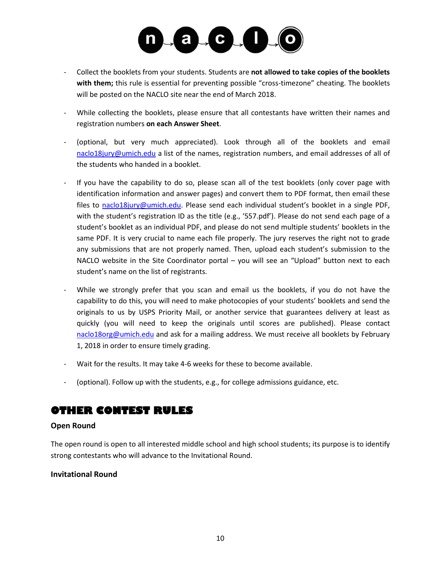

- Collect the booklets from your students. Students are **not allowed to take copies of the booklets with them;** this rule is essential for preventing possible "cross-timezone" cheating. The booklets will be posted on the NACLO site near the end of March 2018.
- While collecting the booklets, please ensure that all contestants have written their names and registration numbers **on each Answer Sheet**.
- (optional, but very much appreciated). Look through all of the booklets and email [naclo18jury@umich.edu](mailto:naclo18jury@umich.edu) a list of the names, registration numbers, and email addresses of all of the students who handed in a booklet.
- If you have the capability to do so, please scan all of the test booklets (only cover page with identification information and answer pages) and convert them to PDF format, then email these files to [naclo18jury@umich.edu.](mailto:naclo18jury@umich.edu) Please send each individual student's booklet in a single PDF, with the student's registration ID as the title (e.g., '557.pdf'). Please do not send each page of a student's booklet as an individual PDF, and please do not send multiple students' booklets in the same PDF. It is very crucial to name each file properly. The jury reserves the right not to grade any submissions that are not properly named. Then, upload each student's submission to the NACLO website in the Site Coordinator portal – you will see an "Upload" button next to each student's name on the list of registrants.
- While we strongly prefer that you scan and email us the booklets, if you do not have the capability to do this, you will need to make photocopies of your students' booklets and send the originals to us by USPS Priority Mail, or another service that guarantees delivery at least as quickly (you will need to keep the originals until scores are published). Please contact [naclo18org@umich.edu](mailto:naclo18org@umich.edu) and ask for a mailing address. We must receive all booklets by February 1, 2018 in order to ensure timely grading.
- Wait for the results. It may take 4-6 weeks for these to become available.
- (optional). Follow up with the students, e.g., for college admissions guidance, etc.

## **OTHER CONTEST RULES**

#### **Open Round**

The open round is open to all interested middle school and high school students; its purpose is to identify strong contestants who will advance to the Invitational Round.

#### **Invitational Round**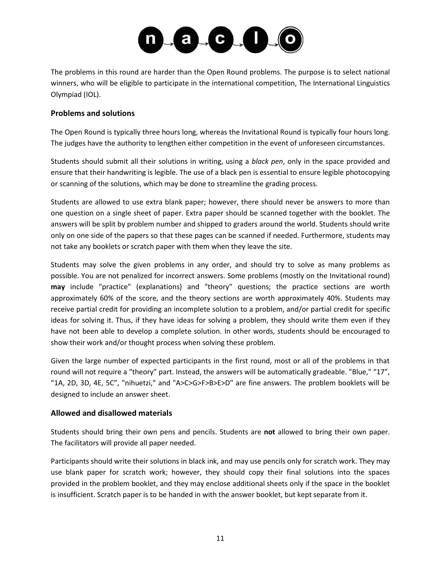

The problems in this round are harder than the Open Round problems. The purpose is to select national winners, who will be eligible to participate in the international competition, The International Linguistics Olympiad (IOL).

#### **Problems and solutions**

The Open Round is typically three hours long, whereas the Invitational Round is typically four hours long. The judges have the authority to lengthen either competition in the event of unforeseen circumstances.

Students should submit all their solutions in writing, using a *black pen*, only in the space provided and ensure that their handwriting is legible. The use of a black pen is essential to ensure legible photocopying or scanning of the solutions, which may be done to streamline the grading process.

Students are allowed to use extra blank paper; however, there should never be answers to more than one question on a single sheet of paper. Extra paper should be scanned together with the booklet. The answers will be split by problem number and shipped to graders around the world. Students should write only on one side of the papers so that these pages can be scanned if needed. Furthermore, students may not take any booklets or scratch paper with them when they leave the site.

Students may solve the given problems in any order, and should try to solve as many problems as possible. You are not penalized for incorrect answers. Some problems (mostly on the Invitational round) **may** include "practice" (explanations) and "theory" questions; the practice sections are worth approximately 60% of the score, and the theory sections are worth approximately 40%. Students may receive partial credit for providing an incomplete solution to a problem, and/or partial credit for specific ideas for solving it. Thus, if they have ideas for solving a problem, they should write them even if they have not been able to develop a complete solution. In other words, students should be encouraged to show their work and/or thought process when solving these problem.

Given the large number of expected participants in the first round, most or all of the problems in that round will not require a "theory" part. Instead, the answers will be automatically gradeable. "Blue," "17", "1A, 2D, 3D, 4E, 5C", "nihuetzi," and "A>C>G>F>B>E>D" are fine answers. The problem booklets will be designed to include an answer sheet.

#### **Allowed and disallowed materials**

Students should bring their own pens and pencils. Students are **not** allowed to bring their own paper. The facilitators will provide all paper needed.

Participants should write their solutions in black ink, and may use pencils only for scratch work. They may use blank paper for scratch work; however, they should copy their final solutions into the spaces provided in the problem booklet, and they may enclose additional sheets only if the space in the booklet is insufficient. Scratch paper is to be handed in with the answer booklet, but kept separate from it.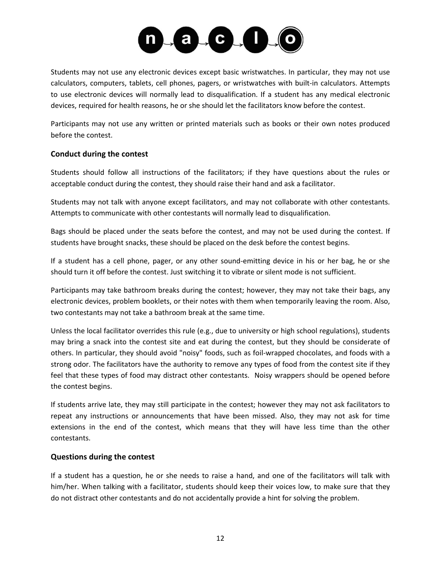

Students may not use any electronic devices except basic wristwatches. In particular, they may not use calculators, computers, tablets, cell phones, pagers, or wristwatches with built-in calculators. Attempts to use electronic devices will normally lead to disqualification. If a student has any medical electronic devices, required for health reasons, he or she should let the facilitators know before the contest.

Participants may not use any written or printed materials such as books or their own notes produced before the contest.

#### **Conduct during the contest**

Students should follow all instructions of the facilitators; if they have questions about the rules or acceptable conduct during the contest, they should raise their hand and ask a facilitator.

Students may not talk with anyone except facilitators, and may not collaborate with other contestants. Attempts to communicate with other contestants will normally lead to disqualification.

Bags should be placed under the seats before the contest, and may not be used during the contest. If students have brought snacks, these should be placed on the desk before the contest begins.

If a student has a cell phone, pager, or any other sound-emitting device in his or her bag, he or she should turn it off before the contest. Just switching it to vibrate or silent mode is not sufficient.

Participants may take bathroom breaks during the contest; however, they may not take their bags, any electronic devices, problem booklets, or their notes with them when temporarily leaving the room. Also, two contestants may not take a bathroom break at the same time.

Unless the local facilitator overrides this rule (e.g., due to university or high school regulations), students may bring a snack into the contest site and eat during the contest, but they should be considerate of others. In particular, they should avoid "noisy" foods, such as foil-wrapped chocolates, and foods with a strong odor. The facilitators have the authority to remove any types of food from the contest site if they feel that these types of food may distract other contestants. Noisy wrappers should be opened before the contest begins.

If students arrive late, they may still participate in the contest; however they may not ask facilitators to repeat any instructions or announcements that have been missed. Also, they may not ask for time extensions in the end of the contest, which means that they will have less time than the other contestants.

#### **Questions during the contest**

If a student has a question, he or she needs to raise a hand, and one of the facilitators will talk with him/her. When talking with a facilitator, students should keep their voices low, to make sure that they do not distract other contestants and do not accidentally provide a hint for solving the problem.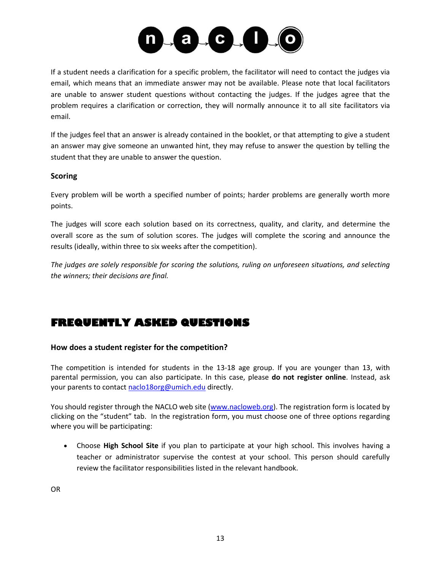

If a student needs a clarification for a specific problem, the facilitator will need to contact the judges via email, which means that an immediate answer may not be available. Please note that local facilitators are unable to answer student questions without contacting the judges. If the judges agree that the problem requires a clarification or correction, they will normally announce it to all site facilitators via email.

If the judges feel that an answer is already contained in the booklet, or that attempting to give a student an answer may give someone an unwanted hint, they may refuse to answer the question by telling the student that they are unable to answer the question.

#### **Scoring**

Every problem will be worth a specified number of points; harder problems are generally worth more points.

The judges will score each solution based on its correctness, quality, and clarity, and determine the overall score as the sum of solution scores. The judges will complete the scoring and announce the results (ideally, within three to six weeks after the competition).

*The judges are solely responsible for scoring the solutions, ruling on unforeseen situations, and selecting the winners; their decisions are final.*

## **FREQUENTLY ASKED QUESTIONS**

#### **How does a student register for the competition?**

The competition is intended for students in the 13-18 age group. If you are younger than 13, with parental permission, you can also participate. In this case, please **do not register online**. Instead, ask your parents to contact [naclo18org@umich.edu](mailto:naclo18org@umich.edu) directly.

You should register through the NACLO web site [\(www.nacloweb.org\)](http://www.nacloweb.org/). The registration form is located by clicking on the "student" tab. In the registration form, you must choose one of three options regarding where you will be participating:

• Choose **High School Site** if you plan to participate at your high school. This involves having a teacher or administrator supervise the contest at your school. This person should carefully review the facilitator responsibilities listed in the relevant handbook.

OR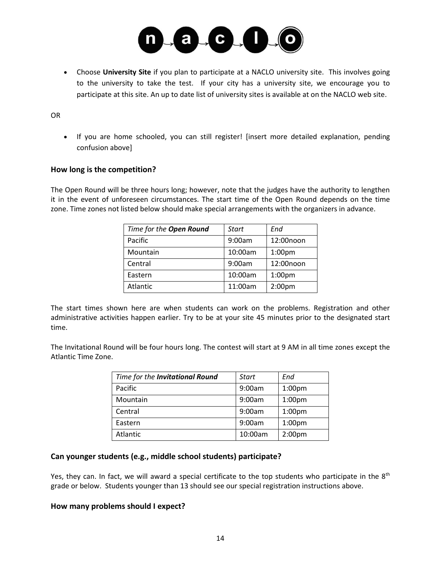

• Choose **University Site** if you plan to participate at a NACLO university site. This involves going to the university to take the test. If your city has a university site, we encourage you to participate at this site. An up to date list of university sites is available at on the NACLO web site.

#### OR

• If you are home schooled, you can still register! [insert more detailed explanation, pending confusion above]

#### **How long is the competition?**

The Open Round will be three hours long; however, note that the judges have the authority to lengthen it in the event of unforeseen circumstances. The start time of the Open Round depends on the time zone. Time zones not listed below should make special arrangements with the organizers in advance.

| Time for the Open Round | Start   | End                |
|-------------------------|---------|--------------------|
| Pacific                 | 9:00am  | 12:00noon          |
| Mountain                | 10:00am | 1:00 <sub>pm</sub> |
| Central                 | 9:00am  | 12:00noon          |
| Eastern                 | 10:00am | 1:00 <sub>pm</sub> |
| Atlantic                | 11:00am | 2:00 <sub>pm</sub> |

The start times shown here are when students can work on the problems. Registration and other administrative activities happen earlier. Try to be at your site 45 minutes prior to the designated start time.

The Invitational Round will be four hours long. The contest will start at 9 AM in all time zones except the Atlantic Time Zone.

| Time for the Invitational Round | <b>Start</b> | End                |
|---------------------------------|--------------|--------------------|
| Pacific                         | 9:00am       | 1:00 <sub>pm</sub> |
| Mountain                        | 9:00am       | 1:00 <sub>pm</sub> |
| Central                         | 9:00am       | 1:00 <sub>pm</sub> |
| Eastern                         | 9:00am       | 1:00 <sub>pm</sub> |
| Atlantic                        | 10:00am      | 2:00 <sub>pm</sub> |

#### **Can younger students (e.g., middle school students) participate?**

Yes, they can. In fact, we will award a special certificate to the top students who participate in the 8<sup>th</sup> grade or below. Students younger than 13 should see our special registration instructions above.

#### **How many problems should I expect?**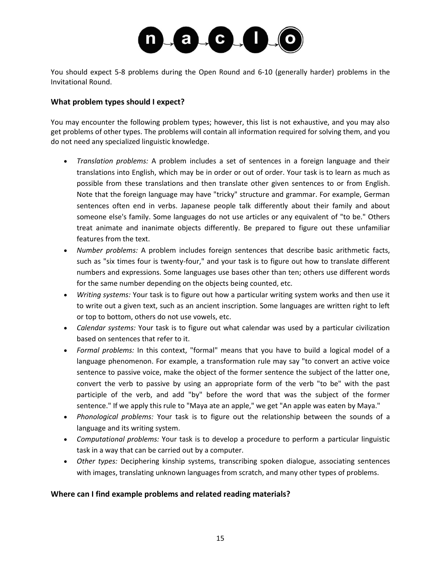

You should expect 5-8 problems during the Open Round and 6-10 (generally harder) problems in the Invitational Round.

#### **What problem types should I expect?**

You may encounter the following problem types; however, this list is not exhaustive, and you may also get problems of other types. The problems will contain all information required for solving them, and you do not need any specialized linguistic knowledge.

- *Translation problems:* A problem includes a set of sentences in a foreign language and their translations into English, which may be in order or out of order. Your task is to learn as much as possible from these translations and then translate other given sentences to or from English. Note that the foreign language may have "tricky" structure and grammar. For example, German sentences often end in verbs. Japanese people talk differently about their family and about someone else's family. Some languages do not use articles or any equivalent of "to be." Others treat animate and inanimate objects differently. Be prepared to figure out these unfamiliar features from the text.
- *Number problems:* A problem includes foreign sentences that describe basic arithmetic facts, such as "six times four is twenty-four," and your task is to figure out how to translate different numbers and expressions. Some languages use bases other than ten; others use different words for the same number depending on the objects being counted, etc.
- *Writing systems:* Your task is to figure out how a particular writing system works and then use it to write out a given text, such as an ancient inscription. Some languages are written right to left or top to bottom, others do not use vowels, etc.
- *Calendar systems:* Your task is to figure out what calendar was used by a particular civilization based on sentences that refer to it.
- *Formal problems:* In this context, "formal" means that you have to build a logical model of a language phenomenon. For example, a transformation rule may say "to convert an active voice sentence to passive voice, make the object of the former sentence the subject of the latter one, convert the verb to passive by using an appropriate form of the verb "to be" with the past participle of the verb, and add "by" before the word that was the subject of the former sentence." If we apply this rule to "Maya ate an apple," we get "An apple was eaten by Maya."
- *Phonological problems:* Your task is to figure out the relationship between the sounds of a language and its writing system.
- *Computational problems:* Your task is to develop a procedure to perform a particular linguistic task in a way that can be carried out by a computer.
- *Other types:* Deciphering kinship systems, transcribing spoken dialogue, associating sentences with images, translating unknown languages from scratch, and many other types of problems.

#### **Where can I find example problems and related reading materials?**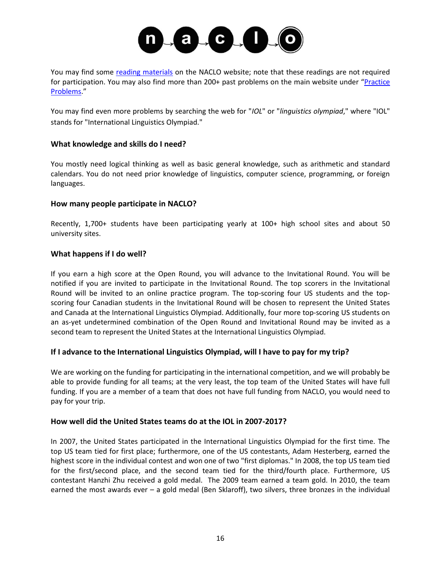

You may find some [reading materials](http://nacloweb.org/resources.php) on the NACLO website; note that these readings are not required for participation. You may also find more than 200+ past problems on the main website under "[Practice](http://nacloweb.org/practice.php)  [Problems](http://nacloweb.org/practice.php)."

You may find even more problems by searching the web for "*IOL*" or "*linguistics olympiad*," where "IOL" stands for "International Linguistics Olympiad."

#### **What knowledge and skills do I need?**

You mostly need logical thinking as well as basic general knowledge, such as arithmetic and standard calendars. You do not need prior knowledge of linguistics, computer science, programming, or foreign languages.

#### **How many people participate in NACLO?**

Recently, 1,700+ students have been participating yearly at 100+ high school sites and about 50 university sites.

#### **What happens if I do well?**

If you earn a high score at the Open Round, you will advance to the Invitational Round. You will be notified if you are invited to participate in the Invitational Round. The top scorers in the Invitational Round will be invited to an online practice program. The top-scoring four US students and the topscoring four Canadian students in the Invitational Round will be chosen to represent the United States and Canada at the International Linguistics Olympiad. Additionally, four more top-scoring US students on an as-yet undetermined combination of the Open Round and Invitational Round may be invited as a second team to represent the United States at the International Linguistics Olympiad.

#### **If I advance to the International Linguistics Olympiad, will I have to pay for my trip?**

We are working on the funding for participating in the international competition, and we will probably be able to provide funding for all teams; at the very least, the top team of the United States will have full funding. If you are a member of a team that does not have full funding from NACLO, you would need to pay for your trip.

#### **How well did the United States teams do at the IOL in 2007-2017?**

In 2007, the United States participated in the International Linguistics Olympiad for the first time. The top US team tied for first place; furthermore, one of the US contestants, Adam Hesterberg, earned the highest score in the individual contest and won one of two "first diplomas." In 2008, the top US team tied for the first/second place, and the second team tied for the third/fourth place. Furthermore, US contestant Hanzhi Zhu received a gold medal. The 2009 team earned a team gold. In 2010, the team earned the most awards ever – a gold medal (Ben Sklaroff), two silvers, three bronzes in the individual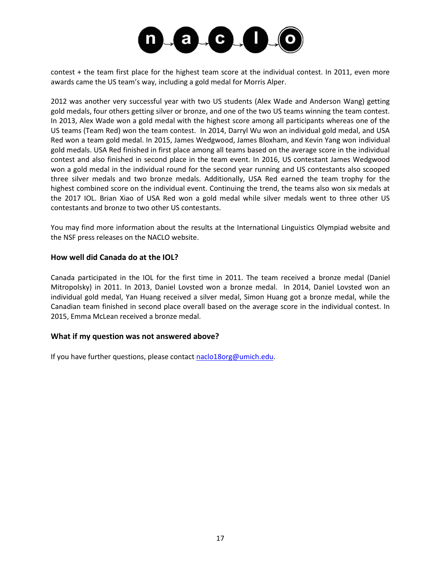

contest + the team first place for the highest team score at the individual contest. In 2011, even more awards came the US team's way, including a gold medal for Morris Alper.

2012 was another very successful year with two US students (Alex Wade and Anderson Wang) getting gold medals, four others getting silver or bronze, and one of the two US teams winning the team contest. In 2013, Alex Wade won a gold medal with the highest score among all participants whereas one of the US teams (Team Red) won the team contest. In 2014, Darryl Wu won an individual gold medal, and USA Red won a team gold medal. In 2015, James Wedgwood, James Bloxham, and Kevin Yang won individual gold medals. USA Red finished in first place among all teams based on the average score in the individual contest and also finished in second place in the team event. In 2016, US contestant James Wedgwood won a gold medal in the individual round for the second year running and US contestants also scooped three silver medals and two bronze medals. Additionally, USA Red earned the team trophy for the highest combined score on the individual event. Continuing the trend, the teams also won six medals at the 2017 IOL. Brian Xiao of USA Red won a gold medal while silver medals went to three other US contestants and bronze to two other US contestants.

You may find more information about the results at the International Linguistics Olympiad website and the NSF press releases on the NACLO website.

#### **How well did Canada do at the IOL?**

Canada participated in the IOL for the first time in 2011. The team received a bronze medal (Daniel Mitropolsky) in 2011. In 2013, Daniel Lovsted won a bronze medal. In 2014, Daniel Lovsted won an individual gold medal, Yan Huang received a silver medal, Simon Huang got a bronze medal, while the Canadian team finished in second place overall based on the average score in the individual contest. In 2015, Emma McLean received a bronze medal.

#### **What if my question was not answered above?**

If you have further questions, please contac[t naclo18org@umich.edu.](mailto:naclo18org@umich.edu)